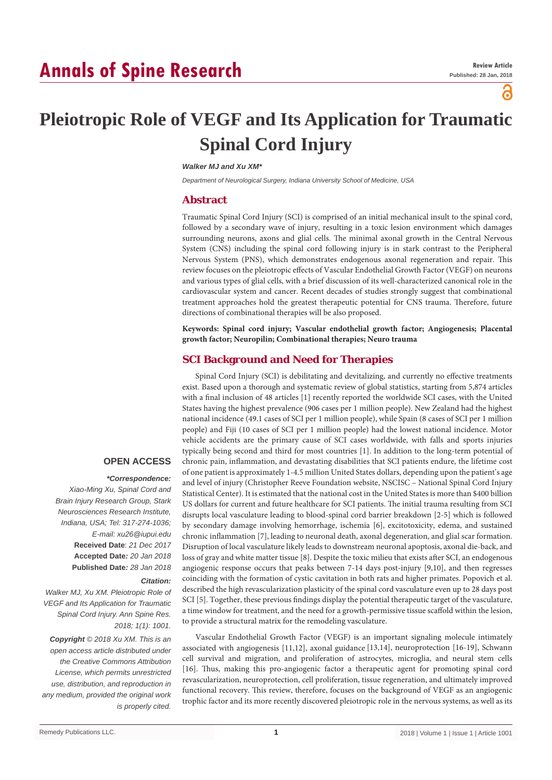# **Annals of Spine Research**

പ്പ

# **Pleiotropic Role of VEGF and Its Application for Traumatic Spinal Cord Injury**

*Walker MJ and Xu XM\**

*Department of Neurological Surgery, Indiana University School of Medicine, USA*

#### **Abstract**

Traumatic Spinal Cord Injury (SCI) is comprised of an initial mechanical insult to the spinal cord, followed by a secondary wave of injury, resulting in a toxic lesion environment which damages surrounding neurons, axons and glial cells. The minimal axonal growth in the Central Nervous System (CNS) including the spinal cord following injury is in stark contrast to the Peripheral Nervous System (PNS), which demonstrates endogenous axonal regeneration and repair. This review focuses on the pleiotropic effects of Vascular Endothelial Growth Factor (VEGF) on neurons and various types of glial cells, with a brief discussion of its well-characterized canonical role in the cardiovascular system and cancer. Recent decades of studies strongly suggest that combinational treatment approaches hold the greatest therapeutic potential for CNS trauma. Therefore, future directions of combinational therapies will be also proposed.

**Keywords: Spinal cord injury; Vascular endothelial growth factor; Angiogenesis; Placental growth factor; Neuropilin; Combinational therapies; Neuro trauma**

## **SCI Background and Need for Therapies**

Spinal Cord Injury (SCI) is debilitating and devitalizing, and currently no effective treatments exist. Based upon a thorough and systematic review of global statistics, starting from 5,874 articles with a final inclusion of 48 articles [1] recently reported the worldwide SCI cases, with the United States having the highest prevalence (906 cases per 1 million people). New Zealand had the highest national incidence (49.1 cases of SCI per 1 million people), while Spain (8 cases of SCI per 1 million people) and Fiji (10 cases of SCI per 1 million people) had the lowest national incidence. Motor vehicle accidents are the primary cause of SCI cases worldwide, with falls and sports injuries typically being second and third for most countries [1]. In addition to the long-term potential of chronic pain, inflammation, and devastating disabilities that SCI patients endure, the lifetime cost of one patient is approximately 1-4.5 million United States dollars, depending upon the patient's age and level of injury (Christopher Reeve Foundation website, NSCISC – National Spinal Cord Injury Statistical Center). It is estimated that the national cost in the United States is more than \$400 billion US dollars for current and future healthcare for SCI patients. The initial trauma resulting from SCI disrupts local vasculature leading to blood-spinal cord barrier breakdown [2-5] which is followed by secondary damage involving hemorrhage, ischemia [6], excitotoxicity, edema, and sustained chronic inflammation [7], leading to neuronal death, axonal degeneration, and glial scar formation. Disruption of local vasculature likely leads to downstream neuronal apoptosis, axonal die-back, and loss of gray and white matter tissue [8]. Despite the toxic milieu that exists after SCI, an endogenous angiogenic response occurs that peaks between 7-14 days post-injury [9,10], and then regresses coinciding with the formation of cystic cavitation in both rats and higher primates. Popovich et al. described the high revascularization plasticity of the spinal cord vasculature even up to 28 days post SCI [5]. Together, these previous findings display the potential therapeutic target of the vasculature, a time window for treatment, and the need for a growth-permissive tissue scaffold within the lesion, to provide a structural matrix for the remodeling vasculature.

Vascular Endothelial Growth Factor (VEGF) is an important signaling molecule intimately associated with angiogenesis [11,12], axonal guidance [13,14], neuroprotection [16-19], Schwann cell survival and migration, and proliferation of astrocytes, microglia, and neural stem cells [16]. Thus, making this pro-angiogenic factor a therapeutic agent for promoting spinal cord revascularization, neuroprotection, cell proliferation, tissue regeneration, and ultimately improved functional recovery. This review, therefore, focuses on the background of VEGF as an angiogenic trophic factor and its more recently discovered pleiotropic role in the nervous systems, as well as its

## **OPEN ACCESS**

# *\*Correspondence:*

*Xiao-Ming Xu, Spinal Cord and Brain Injury Research Group, Stark Neurosciences Research Institute, Indiana, USA; Tel: 317-274-1036; E-mail: xu26@iupui.edu* **Received Date**: *21 Dec 2017* **Accepted Date***: 20 Jan 2018* **Published Date***: 28 Jan 2018*

#### *Citation:*

*Walker MJ, Xu XM. Pleiotropic Role of VEGF and Its Application for Traumatic Spinal Cord Injury. Ann Spine Res. 2018; 1(1): 1001.*

*Copyright © 2018 Xu XM. This is an open access article distributed under the Creative Commons Attribution License, which permits unrestricted use, distribution, and reproduction in any medium, provided the original work is properly cited.*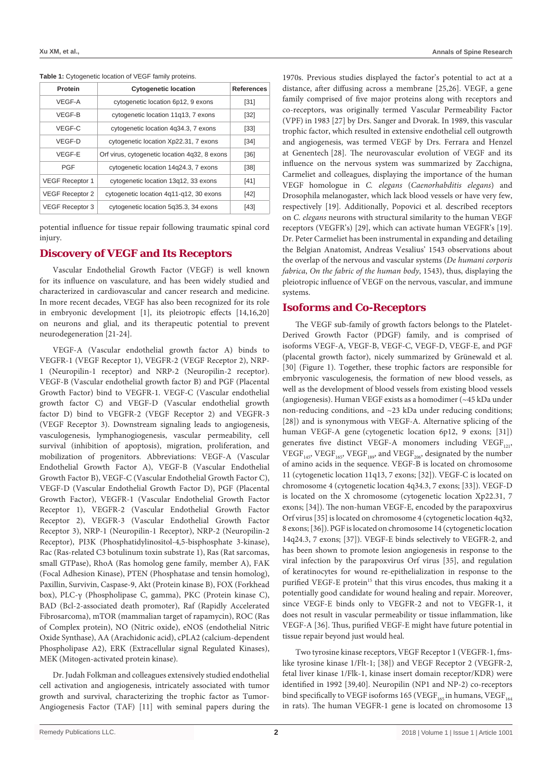| Protein                | <b>Cytogenetic location</b>                   | <b>References</b> |
|------------------------|-----------------------------------------------|-------------------|
| VEGF-A                 | cytogenetic location 6p12, 9 exons            | [31]              |
| VEGF-B                 | cytogenetic location 11q13, 7 exons           | [32]              |
| VEGF-C                 | cytogenetic location 4g34.3, 7 exons          | [33]              |
| VEGF-D                 | cytogenetic location Xp22.31, 7 exons         | [34]              |
| VEGF-E                 | Orf virus, cytogenetic location 4g32, 8 exons | [36]              |
| PGF                    | cytogenetic location 14g24.3, 7 exons         | [38]              |
| <b>VEGF Receptor 1</b> | cytogenetic location 13g12, 33 exons          | [41]              |
| <b>VEGF Receptor 2</b> | cytogenetic location 4g11-g12, 30 exons       | $[42]$            |
| <b>VEGF Receptor 3</b> | cytogenetic location 5g35.3, 34 exons         | [43]              |

**Table 1:** Cytogenetic location of VEGF family proteins.

potential influence for tissue repair following traumatic spinal cord injury.

#### **Discovery of VEGF and Its Receptors**

Vascular Endothelial Growth Factor (VEGF) is well known for its influence on vasculature, and has been widely studied and characterized in cardiovascular and cancer research and medicine. In more recent decades, VEGF has also been recognized for its role in embryonic development [1], its pleiotropic effects [14,16,20] on neurons and glial, and its therapeutic potential to prevent neurodegeneration [21-24].

VEGF-A (Vascular endothelial growth factor A) binds to VEGFR-1 (VEGF Receptor 1), VEGFR-2 (VEGF Receptor 2), NRP-1 (Neuropilin-1 receptor) and NRP-2 (Neuropilin-2 receptor). VEGF-B (Vascular endothelial growth factor B) and PGF (Placental Growth Factor) bind to VEGFR-1. VEGF-C (Vascular endothelial growth factor C) and VEGF-D (Vascular endothelial growth factor D) bind to VEGFR-2 (VEGF Receptor 2) and VEGFR-3 (VEGF Receptor 3). Downstream signaling leads to angiogenesis, vasculogenesis, lymphanogiogenesis, vascular permeability, cell survival (inhibition of apoptosis), migration, proliferation, and mobilization of progenitors. Abbreviations: VEGF-A (Vascular Endothelial Growth Factor A), VEGF-B (Vascular Endothelial Growth Factor B), VEGF-C (Vascular Endothelial Growth Factor C), VEGF-D (Vascular Endothelial Growth Factor D), PGF (Placental Growth Factor), VEGFR-1 (Vascular Endothelial Growth Factor Receptor 1), VEGFR-2 (Vascular Endothelial Growth Factor Receptor 2), VEGFR-3 (Vascular Endothelial Growth Factor Receptor 3), NRP-1 (Neuropilin-1 Receptor), NRP-2 (Neuropilin-2 Receptor), PI3K (Phosphatidylinositol-4,5-bisphosphate 3-kinase), Rac (Ras-related C3 botulinum toxin substrate 1), Ras (Rat sarcomas, small GTPase), RhoA (Ras homolog gene family, member A), FAK (Focal Adhesion Kinase), PTEN (Phosphatase and tensin homolog), Paxillin, Survivin, Caspase-9, Akt (Protein kinase B), FOX (Forkhead box), PLC-γ (Phospholipase C, gamma), PKC (Protein kinase C), BAD (Bcl-2-associated death promoter), Raf (Rapidly Accelerated Fibrosarcoma), mTOR (mammalian target of rapamycin), ROC (Ras of Complex protein), NO (Nitric oxide), eNOS (endothelial Nitric Oxide Synthase), AA (Arachidonic acid), cPLA2 (calcium-dependent Phospholipase A2), ERK (Extracellular signal Regulated Kinases), MEK (Mitogen-activated protein kinase).

Dr. Judah Folkman and colleagues extensively studied endothelial cell activation and angiogenesis, intricately associated with tumor growth and survival, characterizing the trophic factor as Tumor-Angiogenesis Factor (TAF) [11] with seminal papers during the

1970s. Previous studies displayed the factor's potential to act at a distance, after diffusing across a membrane [25,26]. VEGF, a gene family comprised of five major proteins along with receptors and co-receptors, was originally termed Vascular Permeability Factor (VPF) in 1983 [27] by Drs. Sanger and Dvorak. In 1989, this vascular trophic factor, which resulted in extensive endothelial cell outgrowth and angiogenesis, was termed VEGF by Drs. Ferrara and Henzel at Genentech [28]. The neurovascular evolution of VEGF and its influence on the nervous system was summarized by Zacchigna, Carmeliet and colleagues, displaying the importance of the human VEGF homologue in *C. elegans* (*Caenorhabditis elegans*) and Drosophila melanogaster, which lack blood vessels or have very few, respectively [19]. Additionally, Popovici et al. described receptors on *C. elegans* neurons with structural similarity to the human VEGF receptors (VEGFR's) [29], which can activate human VEGFR's [19]. Dr. Peter Carmeliet has been instrumental in expanding and detailing the Belgian Anatomist, Andreas Vesalius' 1543 observations about the overlap of the nervous and vascular systems (*De humani corporis fabrica*, *On the fabric of the human body*, 1543), thus, displaying the pleiotropic influence of VEGF on the nervous, vascular, and immune systems.

#### **Isoforms and Co-Receptors**

The VEGF sub-family of growth factors belongs to the Platelet-Derived Growth Factor (PDGF) family, and is comprised of isoforms VEGF-A, VEGF-B, VEGF-C, VEGF-D, VEGF-E, and PGF (placental growth factor), nicely summarized by Grünewald et al. [30] (Figure 1). Together, these trophic factors are responsible for embryonic vasculogenesis, the formation of new blood vessels, as well as the development of blood vessels from existing blood vessels (angiogenesis). Human VEGF exists as a homodimer (~45 kDa under non-reducing conditions, and ~23 kDa under reducing conditions; [28]) and is synonymous with VEGF-A. Alternative splicing of the human VEGF-A gene (cytogenetic location 6p12, 9 exons; [31]) generates five distinct VEGF-A monomers including VEGF $_{121}$ ,  $VEGF<sub>145</sub>$ ,  $VEGF<sub>165</sub>$ ,  $VEGF<sub>189</sub>$ , and  $VEGF<sub>206</sub>$ , designated by the number of amino acids in the sequence. VEGF-B is located on chromosome 11 (cytogenetic location 11q13, 7 exons; [32]). VEGF-C is located on chromosome 4 (cytogenetic location 4q34.3, 7 exons; [33]). VEGF-D is located on the X chromosome (cytogenetic location Xp22.31, 7 exons; [34]). The non-human VEGF-E, encoded by the parapoxvirus Orf virus [35] is located on chromosome 4 (cytogenetic location 4q32, 8 exons; [36]). PGF is located on chromosome 14 (cytogenetic location 14q24.3, 7 exons; [37]). VEGF-E binds selectively to VEGFR-2, and has been shown to promote lesion angiogenesis in response to the viral infection by the parapoxvirus Orf virus [35], and regulation of keratinocytes for wound re-epithelialization in response to the purified VEGF-E protein<sup>15</sup> that this virus encodes, thus making it a potentially good candidate for wound healing and repair. Moreover, since VEGF-E binds only to VEGFR-2 and not to VEGFR-1, it does not result in vascular permeability or tissue inflammation, like VEGF-A [36]. Thus, purified VEGF-E might have future potential in tissue repair beyond just would heal.

Two tyrosine kinase receptors, VEGF Receptor 1 (VEGFR-1, fmslike tyrosine kinase 1/Flt-1; [38]) and VEGF Receptor 2 (VEGFR-2, fetal liver kinase 1/Flk-1, kinase insert domain receptor/KDR) were identified in 1992 [39,40]. Neuropilin (NP1 and NP-2) co-receptors bind specifically to VEGF isoforms 165 (VEGF $_{165}$  in humans, VEGF $_{164}$ in rats). The human VEGFR-1 gene is located on chromosome 13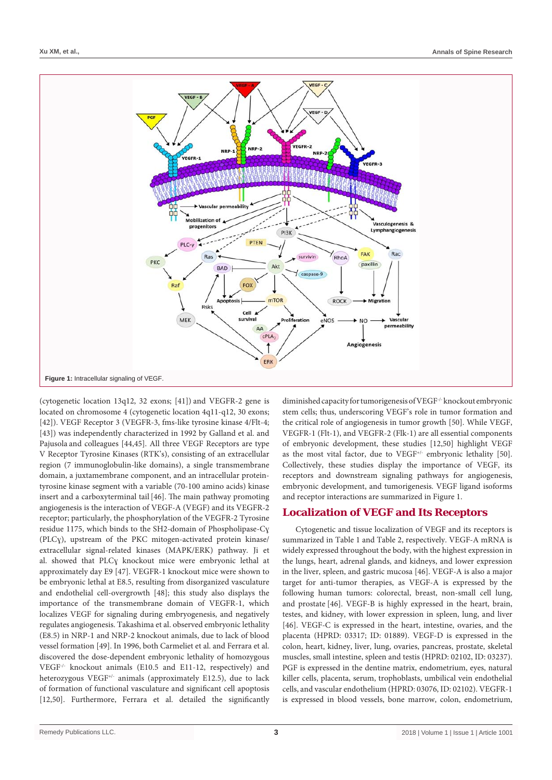

(cytogenetic location 13q12, 32 exons; [41]) and VEGFR-2 gene is located on chromosome 4 (cytogenetic location 4q11-q12, 30 exons; [42]). VEGF Receptor 3 (VEGFR-3, fms-like tyrosine kinase 4/Flt-4; [43]) was independently characterized in 1992 by Galland et al. and Pajusola and colleagues [44,45]. All three VEGF Receptors are type V Receptor Tyrosine Kinases (RTK's), consisting of an extracellular region (7 immunoglobulin-like domains), a single transmembrane domain, a juxtamembrane component, and an intracellular proteintyrosine kinase segment with a variable (70-100 amino acids) kinase insert and a carboxyterminal tail [46]. The main pathway promoting angiogenesis is the interaction of VEGF-A (VEGF) and its VEGFR-2 receptor; particularly, the phosphorylation of the VEGFR-2 Tyrosine residue 1175, which binds to the SH2-domain of Phospholipase-Cɣ (PLCɣ), upstream of the PKC mitogen-activated protein kinase/ extracellular signal-related kinases (MAPK/ERK) pathway. Ji et al. showed that PLCɣ knockout mice were embryonic lethal at approximately day E9 [47]. VEGFR-1 knockout mice were shown to be embryonic lethal at E8.5, resulting from disorganized vasculature and endothelial cell-overgrowth [48]; this study also displays the importance of the transmembrane domain of VEGFR-1, which localizes VEGF for signaling during embryogenesis, and negatively regulates angiogenesis. Takashima et al. observed embryonic lethality (E8.5) in NRP-1 and NRP-2 knockout animals, due to lack of blood vessel formation [49]. In 1996, both Carmeliet et al. and Ferrara et al. discovered the dose-dependent embryonic lethality of homozygous VEGF-/- knockout animals (E10.5 and E11-12, respectively) and heterozygous VEGF<sup>+/-</sup> animals (approximately E12.5), due to lack of formation of functional vasculature and significant cell apoptosis [12,50]. Furthermore, Ferrara et al. detailed the significantly

diminished capacity for tumorigenesis of VEGF-/- knockout embryonic stem cells; thus, underscoring VEGF's role in tumor formation and the critical role of angiogenesis in tumor growth [50]. While VEGF, VEGFR-1 (Flt-1), and VEGFR-2 (Flk-1) are all essential components of embryonic development, these studies [12,50] highlight VEGF as the most vital factor, due to VEGF<sup>+/-</sup> embryonic lethality [50]. Collectively, these studies display the importance of VEGF, its receptors and downstream signaling pathways for angiogenesis, embryonic development, and tumorigenesis. VEGF ligand isoforms and receptor interactions are summarized in Figure 1.

#### **Localization of VEGF and Its Receptors**

Cytogenetic and tissue localization of VEGF and its receptors is summarized in Table 1 and Table 2, respectively. VEGF-A mRNA is widely expressed throughout the body, with the highest expression in the lungs, heart, adrenal glands, and kidneys, and lower expression in the liver, spleen, and gastric mucosa [46]. VEGF-A is also a major target for anti-tumor therapies, as VEGF-A is expressed by the following human tumors: colorectal, breast, non-small cell lung, and prostate [46]. VEGF-B is highly expressed in the heart, brain, testes, and kidney, with lower expression in spleen, lung, and liver [46]. VEGF-C is expressed in the heart, intestine, ovaries, and the placenta (HPRD: 03317; ID: 01889). VEGF-D is expressed in the colon, heart, kidney, liver, lung, ovaries, pancreas, prostate, skeletal muscles, small intestine, spleen and testis (HPRD: 02102, ID: 03237). PGF is expressed in the dentine matrix, endometrium, eyes, natural killer cells, placenta, serum, trophoblasts, umbilical vein endothelial cells, and vascular endothelium (HPRD: 03076, ID: 02102). VEGFR-1 is expressed in blood vessels, bone marrow, colon, endometrium,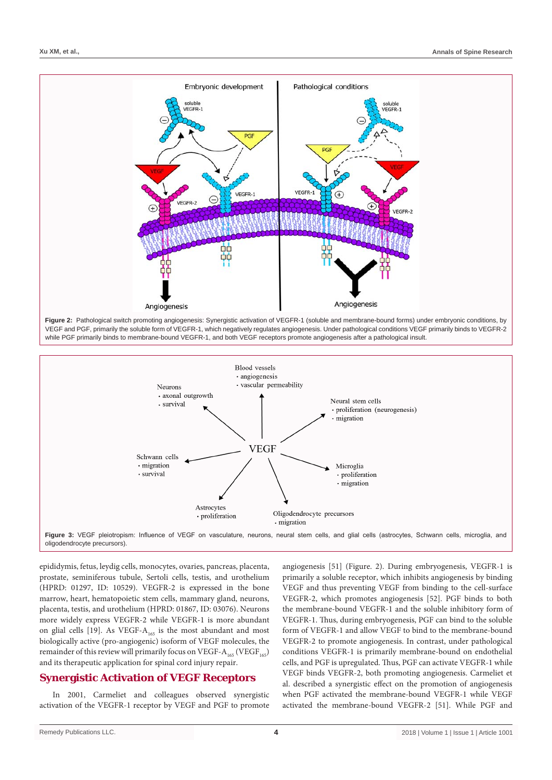





epididymis, fetus, leydig cells, monocytes, ovaries, pancreas, placenta, prostate, seminiferous tubule, Sertoli cells, testis, and urothelium (HPRD: 01297, ID: 10529). VEGFR-2 is expressed in the bone marrow, heart, hematopoietic stem cells, mammary gland, neurons, placenta, testis, and urothelium (HPRD: 01867, ID: 03076). Neurons more widely express VEGFR-2 while VEGFR-1 is more abundant on glial cells [19]. As VEGF- $A<sub>165</sub>$  is the most abundant and most biologically active (pro-angiogenic) isoform of VEGF molecules, the remainder of this review will primarily focus on VEGF- $A_{165}$  (VEGF<sub>165</sub>) and its therapeutic application for spinal cord injury repair.

#### **Synergistic Activation of VEGF Receptors**

In 2001, Carmeliet and colleagues observed synergistic activation of the VEGFR-1 receptor by VEGF and PGF to promote

angiogenesis [51] (Figure. 2). During embryogenesis, VEGFR-1 is primarily a soluble receptor, which inhibits angiogenesis by binding VEGF and thus preventing VEGF from binding to the cell-surface VEGFR-2, which promotes angiogenesis [52]. PGF binds to both the membrane-bound VEGFR-1 and the soluble inhibitory form of VEGFR-1. Thus, during embryogenesis, PGF can bind to the soluble form of VEGFR-1 and allow VEGF to bind to the membrane-bound VEGFR-2 to promote angiogenesis. In contrast, under pathological conditions VEGFR-1 is primarily membrane-bound on endothelial cells, and PGF is upregulated. Thus, PGF can activate VEGFR-1 while VEGF binds VEGFR-2, both promoting angiogenesis. Carmeliet et al. described a synergistic effect on the promotion of angiogenesis when PGF activated the membrane-bound VEGFR-1 while VEGF activated the membrane-bound VEGFR-2 [51]. While PGF and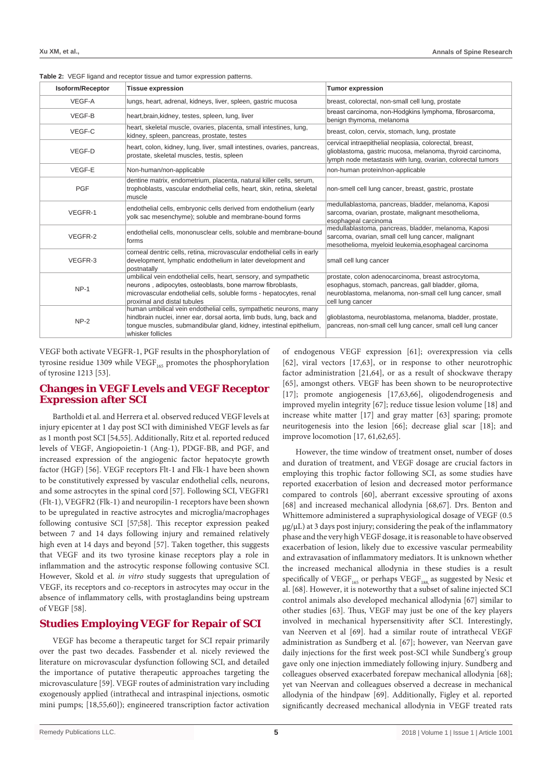#### **Table 2:** VEGF ligand and receptor tissue and tumor expression patterns.

| Isoform/Receptor | <b>Tissue expression</b>                                                                                                                                                                                                              | <b>Tumor expression</b>                                                                                                                                                                      |
|------------------|---------------------------------------------------------------------------------------------------------------------------------------------------------------------------------------------------------------------------------------|----------------------------------------------------------------------------------------------------------------------------------------------------------------------------------------------|
| VEGF-A           | lungs, heart, adrenal, kidneys, liver, spleen, gastric mucosa                                                                                                                                                                         | breast, colorectal, non-small cell lung, prostate                                                                                                                                            |
| VEGF-B           | heart, brain, kidney, testes, spleen, lung, liver                                                                                                                                                                                     | breast carcinoma, non-Hodgkins lymphoma, fibrosarcoma,<br>benign thymoma, melanoma                                                                                                           |
| VEGF-C           | heart, skeletal muscle, ovaries, placenta, small intestines, lung,<br>kidney, spleen, pancreas, prostate, testes                                                                                                                      | breast, colon, cervix, stomach, lung, prostate                                                                                                                                               |
| VEGF-D           | heart, colon, kidney, lung, liver, small intestines, ovaries, pancreas,<br>prostate, skeletal muscles, testis, spleen                                                                                                                 | cervical intraepithelial neoplasia, colorectal, breast,<br>glioblastoma, gastric mucosa, melanoma, thyroid carcinoma,<br>lymph node metastasis with lung, ovarian, colorectal tumors         |
| VEGF-E           | Non-human/non-applicable                                                                                                                                                                                                              | non-human protein/non-applicable                                                                                                                                                             |
| <b>PGF</b>       | dentine matrix, endometrium, placenta, natural killer cells, serum,<br>trophoblasts, vascular endothelial cells, heart, skin, retina, skeletal<br>muscle                                                                              | non-smell cell lung cancer, breast, gastric, prostate                                                                                                                                        |
| VEGFR-1          | endothelial cells, embryonic cells derived from endothelium (early<br>yolk sac mesenchyme); soluble and membrane-bound forms                                                                                                          | medullablastoma, pancreas, bladder, melanoma, Kaposi<br>sarcoma, ovarian, prostate, malignant mesothelioma,<br>esophageal carcinoma                                                          |
| VEGFR-2          | endothelial cells, mononusclear cells, soluble and membrane-bound<br>forms                                                                                                                                                            | medullablastoma, pancreas, bladder, melanoma, Kaposi<br>sarcoma, ovarian, small cell lung cancer, malignant<br>mesothelioma, myeloid leukemia, esophageal carcinoma                          |
| VEGFR-3          | corneal dentric cells, retina, microvascular endothelial cells in early<br>development, lymphatic endothelium in later development and<br>postnatally                                                                                 | small cell lung cancer                                                                                                                                                                       |
| $NP-1$           | umbilical vein endothelial cells, heart, sensory, and sympathetic<br>neurons, adipocytes, osteoblasts, bone marrow fibroblasts,<br>microvascular endothelial cells, soluble forms - hepatocytes, renal<br>proximal and distal tubules | prostate, colon adenocarcinoma, breast astrocytoma,<br>esophagus, stomach, pancreas, gall bladder, giloma,<br>neuroblastoma, melanoma, non-small cell lung cancer, small<br>cell lung cancer |
| $NP-2$           | human umbilical vein endothelial cells, sympathetic neurons, many<br>hindbrain nuclei, inner ear, dorsal aorta, limb buds, lung, back and<br>tonque muscles, submandibular gland, kidney, intestinal epithelium,<br>whisker follicles | glioblastoma, neuroblastoma, melanoma, bladder, prostate,<br>pancreas, non-small cell lung cancer, small cell lung cancer                                                                    |

VEGF both activate VEGFR-1, PGF results in the phosphorylation of tyrosine residue 1309 while  $VEGF<sub>165</sub>$  promotes the phosphorylation of tyrosine 1213 [53].

#### **Changes in VEGF Levels and VEGF Receptor Expression after SCI**

Bartholdi et al. and Herrera et al. observed reduced VEGF levels at injury epicenter at 1 day post SCI with diminished VEGF levels as far as 1 month post SCI [54,55]. Additionally, Ritz et al. reported reduced levels of VEGF, Angiopoietin-1 (Ang-1), PDGF-BB, and PGF, and increased expression of the angiogenic factor hepatocyte growth factor (HGF) [56]. VEGF receptors Flt-1 and Flk-1 have been shown to be constitutively expressed by vascular endothelial cells, neurons, and some astrocytes in the spinal cord [57]. Following SCI, VEGFR1 (Flt-1), VEGFR2 (Flk-1) and neuropilin-1 receptors have been shown to be upregulated in reactive astrocytes and microglia/macrophages following contusive SCI [57;58]. This receptor expression peaked between 7 and 14 days following injury and remained relatively high even at 14 days and beyond [57]. Taken together, this suggests that VEGF and its two tyrosine kinase receptors play a role in inflammation and the astrocytic response following contusive SCI. However, Skold et al. *in vitro* study suggests that upregulation of VEGF, its receptors and co-receptors in astrocytes may occur in the absence of inflammatory cells, with prostaglandins being upstream of VEGF [58].

#### **Studies Employing VEGF for Repair of SCI**

VEGF has become a therapeutic target for SCI repair primarily over the past two decades. Fassbender et al. nicely reviewed the literature on microvascular dysfunction following SCI, and detailed the importance of putative therapeutic approaches targeting the microvasculature [59]. VEGF routes of administration vary including exogenously applied (intrathecal and intraspinal injections, osmotic mini pumps; [18,55,60]); engineered transcription factor activation of endogenous VEGF expression [61]; overexpression via cells [62], viral vectors [17,63], or in response to other neurotrophic factor administration [21,64], or as a result of shockwave therapy [65], amongst others. VEGF has been shown to be neuroprotective [17]; promote angiogenesis [17,63,66], oligodendrogenesis and improved myelin integrity [67]; reduce tissue lesion volume [18] and increase white matter [17] and gray matter [63] sparing; promote neuritogenesis into the lesion [66]; decrease glial scar [18]; and improve locomotion [17, 61,62,65].

However, the time window of treatment onset, number of doses and duration of treatment, and VEGF dosage are crucial factors in employing this trophic factor following SCI, as some studies have reported exacerbation of lesion and decreased motor performance compared to controls [60], aberrant excessive sprouting of axons [68] and increased mechanical allodynia [68,67]. Drs. Benton and Whittemore administered a supraphysiological dosage of VEGF (0.5 µg/µL) at 3 days post injury; considering the peak of the inflammatory phase and the very high VEGF dosage, it is reasonable to have observed exacerbation of lesion, likely due to excessive vascular permeability and extravasation of inflammatory mediators. It is unknown whether the increased mechanical allodynia in these studies is a result specifically of  $VEGF<sub>165</sub>$  or perhaps  $VEGF<sub>188</sub>$  as suggested by Nesic et al. [68]. However, it is noteworthy that a subset of saline injected SCI control animals also developed mechanical allodynia [67] similar to other studies [63]. Thus, VEGF may just be one of the key players involved in mechanical hypersensitivity after SCI. Interestingly, van Neerven et al [69]. had a similar route of intrathecal VEGF administration as Sundberg et al. [67]; however, van Neervan gave daily injections for the first week post-SCI while Sundberg's group gave only one injection immediately following injury. Sundberg and colleagues observed exacerbated forepaw mechanical allodynia [68]; yet van Neervan and colleagues observed a decrease in mechanical allodynia of the hindpaw [69]. Additionally, Figley et al. reported significantly decreased mechanical allodynia in VEGF treated rats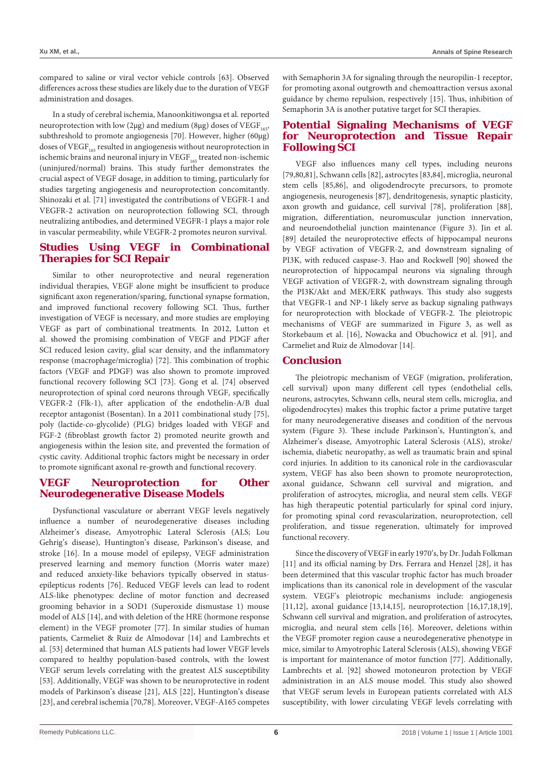compared to saline or viral vector vehicle controls [63]. Observed differences across these studies are likely due to the duration of VEGF administration and dosages.

In a study of cerebral ischemia, Manoonkitiwongsa et al. reported neuroprotection with low (2µg) and medium (8µg) doses of VEGF $_{165}$ , subthreshold to promote angiogenesis [70]. However, higher (60µg) doses of VEGF<sub>165</sub> resulted in angiogenesis without neuroprotection in ischemic brains and neuronal injury in  $VEGF<sub>165</sub>$  treated non-ischemic (uninjured/normal) brains. This study further demonstrates the crucial aspect of VEGF dosage, in addition to timing, particularly for studies targeting angiogenesis and neuroprotection concomitantly. Shinozaki et al. [71] investigated the contributions of VEGFR-1 and VEGFR-2 activation on neuroprotection following SCI, through neutralizing antibodies, and determined VEGFR-1 plays a major role in vascular permeability, while VEGFR-2 promotes neuron survival.

### **Studies Using VEGF in Combinational Therapies for SCI Repair**

Similar to other neuroprotective and neural regeneration individual therapies, VEGF alone might be insufficient to produce significant axon regeneration/sparing, functional synapse formation, and improved functional recovery following SCI. Thus, further investigation of VEGF is necessary, and more studies are employing VEGF as part of combinational treatments. In 2012, Lutton et al. showed the promising combination of VEGF and PDGF after SCI reduced lesion cavity, glial scar density, and the inflammatory response (macrophage/microglia) [72]. This combination of trophic factors (VEGF and PDGF) was also shown to promote improved functional recovery following SCI [73]. Gong et al. [74] observed neuroprotection of spinal cord neurons through VEGF, specifically VEGFR-2 (Flk-1), after application of the endothelin-A/B dual receptor antagonist (Bosentan). In a 2011 combinational study [75], poly (lactide-co-glycolide) (PLG) bridges loaded with VEGF and FGF-2 (fibroblast growth factor 2) promoted neurite growth and angiogenesis within the lesion site, and prevented the formation of cystic cavity. Additional trophic factors might be necessary in order to promote significant axonal re-growth and functional recovery.

### **VEGF Neuroprotection for Other Neurodegenerative Disease Models**

Dysfunctional vasculature or aberrant VEGF levels negatively influence a number of neurodegenerative diseases including Alzheimer's disease, Amyotrophic Lateral Sclerosis (ALS; Lou Gehrig's disease), Huntington's disease, Parkinson's disease, and stroke [16]. In a mouse model of epilepsy, VEGF administration preserved learning and memory function (Morris water maze) and reduced anxiety-like behaviors typically observed in statusepilepticus rodents [76]. Reduced VEGF levels can lead to rodent ALS-like phenotypes: decline of motor function and decreased grooming behavior in a SOD1 (Superoxide dismustase 1) mouse model of ALS [14], and with deletion of the HRE (hormone response element) in the VEGF promoter [77]. In similar studies of human patients, Carmeliet & Ruiz de Almodovar [14] and Lambrechts et al. [53] determined that human ALS patients had lower VEGF levels compared to healthy population-based controls, with the lowest VEGF serum levels correlating with the greatest ALS susceptibility [53]. Additionally, VEGF was shown to be neuroprotective in rodent models of Parkinson's disease [21], ALS [22], Huntington's disease [23], and cerebral ischemia [70,78]. Moreover, VEGF-A165 competes with Semaphorin 3A for signaling through the neuropilin-1 receptor, for promoting axonal outgrowth and chemoattraction versus axonal guidance by chemo repulsion, respectively [15]. Thus, inhibition of Semaphorin 3A is another putative target for SCI therapies.

#### **Potential Signaling Mechanisms of VEGF for Neuroprotection and Tissue Repair Following SCI**

VEGF also influences many cell types, including neurons [79,80,81], Schwann cells [82], astrocytes [83,84], microglia, neuronal stem cells [85,86], and oligodendrocyte precursors, to promote angiogenesis, neurogenesis [87], dendritogenesis, synaptic plasticity, axon growth and guidance, cell survival [78], proliferation [88], migration, differentiation, neuromuscular junction innervation, and neuroendothelial junction maintenance (Figure 3). Jin et al. [89] detailed the neuroprotective effects of hippocampal neurons by VEGF activation of VEGFR-2, and downstream signaling of PI3K, with reduced caspase-3. Hao and Rockwell [90] showed the neuroprotection of hippocampal neurons via signaling through VEGF activation of VEGFR-2, with downstream signaling through the PI3K/Akt and MEK/ERK pathways. This study also suggests that VEGFR-1 and NP-1 likely serve as backup signaling pathways for neuroprotection with blockade of VEGFR-2. The pleiotropic mechanisms of VEGF are summarized in Figure 3, as well as Storkebaum et al. [16], Nowacka and Obuchowicz et al. [91], and Carmeliet and Ruiz de Almodovar [14].

#### **Conclusion**

The pleiotropic mechanism of VEGF (migration, proliferation, cell survival) upon many different cell types (endothelial cells, neurons, astrocytes, Schwann cells, neural stem cells, microglia, and oligodendrocytes) makes this trophic factor a prime putative target for many neurodegenerative diseases and condition of the nervous system (Figure 3). These include Parkinson's, Huntington's, and Alzheimer's disease, Amyotrophic Lateral Sclerosis (ALS), stroke/ ischemia, diabetic neuropathy, as well as traumatic brain and spinal cord injuries. In addition to its canonical role in the cardiovascular system, VEGF has also been shown to promote neuroprotection, axonal guidance, Schwann cell survival and migration, and proliferation of astrocytes, microglia, and neural stem cells. VEGF has high therapeutic potential particularly for spinal cord injury, for promoting spinal cord revascularization, neuroprotection, cell proliferation, and tissue regeneration, ultimately for improved functional recovery.

Since the discovery of VEGF in early 1970's, by Dr. Judah Folkman [11] and its official naming by Drs. Ferrara and Henzel [28], it has been determined that this vascular trophic factor has much broader implications than its canonical role in development of the vascular system. VEGF's pleiotropic mechanisms include: angiogenesis [11,12], axonal guidance [13,14,15], neuroprotection [16,17,18,19], Schwann cell survival and migration, and proliferation of astrocytes, microglia, and neural stem cells [16]. Moreover, deletions within the VEGF promoter region cause a neurodegenerative phenotype in mice, similar to Amyotrophic Lateral Sclerosis (ALS), showing VEGF is important for maintenance of motor function [77]. Additionally, Lambrechts et al. [92] showed motoneuron protection by VEGF administration in an ALS mouse model. This study also showed that VEGF serum levels in European patients correlated with ALS susceptibility, with lower circulating VEGF levels correlating with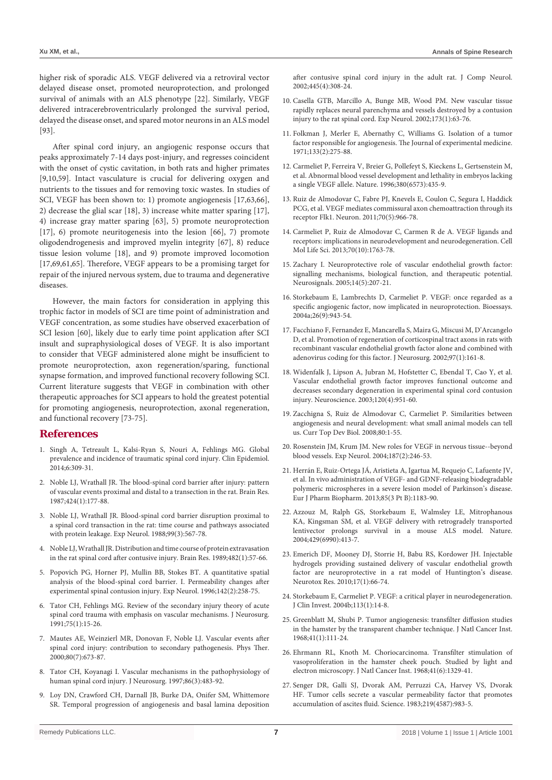higher risk of sporadic ALS. VEGF delivered via a retroviral vector delayed disease onset, promoted neuroprotection, and prolonged survival of animals with an ALS phenotype [22]. Similarly, VEGF delivered intracerebroventricularly prolonged the survival period, delayed the disease onset, and spared motor neurons in an ALS model [93].

After spinal cord injury, an angiogenic response occurs that peaks approximately 7-14 days post-injury, and regresses coincident with the onset of cystic cavitation, in both rats and higher primates [9,10,59]. Intact vasculature is crucial for delivering oxygen and nutrients to the tissues and for removing toxic wastes. In studies of SCI, VEGF has been shown to: 1) promote angiogenesis [17,63,66], 2) decrease the glial scar [18], 3) increase white matter sparing [17], 4) increase gray matter sparing [63], 5) promote neuroprotection [17], 6) promote neuritogenesis into the lesion [66], 7) promote oligodendrogenesis and improved myelin integrity [67], 8) reduce tissue lesion volume [18], and 9) promote improved locomotion [17,69,61,65]. Therefore, VEGF appears to be a promising target for repair of the injured nervous system, due to trauma and degenerative diseases.

However, the main factors for consideration in applying this trophic factor in models of SCI are time point of administration and VEGF concentration, as some studies have observed exacerbation of SCI lesion [60], likely due to early time point application after SCI insult and supraphysiological doses of VEGF. It is also important to consider that VEGF administered alone might be insufficient to promote neuroprotection, axon regeneration/sparing, functional synapse formation, and improved functional recovery following SCI. Current literature suggests that VEGF in combination with other therapeutic approaches for SCI appears to hold the greatest potential for promoting angiogenesis, neuroprotection, axonal regeneration, and functional recovery [73-75].

#### **References**

- 1. [Singh A, Tetreault L, Kalsi-Ryan S, Nouri A, Fehlings MG. Global](https://www.ncbi.nlm.nih.gov/pubmed/25278785)  [prevalence and incidence of traumatic spinal cord injury. Clin Epidemiol.](https://www.ncbi.nlm.nih.gov/pubmed/25278785)  [2014;6:309-31.](https://www.ncbi.nlm.nih.gov/pubmed/25278785)
- 2. [Noble LJ, Wrathall JR. The blood-spinal cord barrier after injury: pattern](https://www.ncbi.nlm.nih.gov/pubmed/3690298)  [of vascular events proximal and distal to a transection in the rat. Brain Res.](https://www.ncbi.nlm.nih.gov/pubmed/3690298)  [1987;424\(1\):177-88.](https://www.ncbi.nlm.nih.gov/pubmed/3690298)
- 3. [Noble LJ, Wrathall JR. Blood-spinal cord barrier disruption proximal to](https://www.ncbi.nlm.nih.gov/pubmed/3342839)  [a spinal cord transaction in the rat: time course and pathways associated](https://www.ncbi.nlm.nih.gov/pubmed/3342839)  [with protein leakage. Exp Neurol. 1988;99\(3\):567-78.](https://www.ncbi.nlm.nih.gov/pubmed/3342839)
- 4. [Noble LJ, Wrathall JR. Distribution and time course of protein extravasation](https://www.ncbi.nlm.nih.gov/pubmed/2706482)  [in the rat spinal cord after contusive injury. Brain Res. 1989;482\(1\):57-66.](https://www.ncbi.nlm.nih.gov/pubmed/2706482)
- 5. [Popovich PG, Horner PJ, Mullin BB, Stokes BT. A quantitative spatial](https://www.ncbi.nlm.nih.gov/pubmed/8934558)  [analysis of the blood-spinal cord barrier. I. Permeability changes after](https://www.ncbi.nlm.nih.gov/pubmed/8934558)  [experimental spinal contusion injury. Exp Neurol. 1996;142\(2\):258-75.](https://www.ncbi.nlm.nih.gov/pubmed/8934558)
- 6. [Tator CH, Fehlings MG. Review of the secondary injury theory of acute](https://www.ncbi.nlm.nih.gov/pubmed/2045903)  [spinal cord trauma with emphasis on vascular mechanisms. J Neurosurg.](https://www.ncbi.nlm.nih.gov/pubmed/2045903)  [1991;75\(1\):15-26.](https://www.ncbi.nlm.nih.gov/pubmed/2045903)
- 7. [Mautes AE, Weinzierl MR, Donovan F, Noble LJ. Vascular events after](https://www.ncbi.nlm.nih.gov/pubmed/10869130)  [spinal cord injury: contribution to secondary pathogenesis. Phys Ther.](https://www.ncbi.nlm.nih.gov/pubmed/10869130)  [2000;80\(7\):673-87.](https://www.ncbi.nlm.nih.gov/pubmed/10869130)
- 8. [Tator CH, Koyanagi I. Vascular mechanisms in the pathophysiology of](https://www.ncbi.nlm.nih.gov/pubmed/9046306)  [human spinal cord injury. J Neurosurg. 1997;86\(3\):483-92.](https://www.ncbi.nlm.nih.gov/pubmed/9046306)
- 9. [Loy DN, Crawford CH, Darnall JB, Burke DA, Onifer SM, Whittemore](https://www.ncbi.nlm.nih.gov/pubmed/11920709)  [SR. Temporal progression of angiogenesis and basal lamina deposition](https://www.ncbi.nlm.nih.gov/pubmed/11920709)

[after contusive spinal cord injury in the adult rat. J Comp Neurol.](https://www.ncbi.nlm.nih.gov/pubmed/11920709)  [2002;445\(4\):308-24.](https://www.ncbi.nlm.nih.gov/pubmed/11920709)

- 10. [Casella GTB, Marcillo A, Bunge MB, Wood PM. New vascular tissue](https://www.ncbi.nlm.nih.gov/pubmed/11771939)  [rapidly replaces neural parenchyma and vessels destroyed by a contusion](https://www.ncbi.nlm.nih.gov/pubmed/11771939)  [injury to the rat spinal cord. Exp Neurol. 2002;173\(1\):63-76.](https://www.ncbi.nlm.nih.gov/pubmed/11771939)
- 11. [Folkman J, Merler E, Abernathy C, Williams G. Isolation of a tumor](https://www.ncbi.nlm.nih.gov/pmc/articles/PMC2138906/)  [factor responsible for angiogenesis. The Journal of experimental medicine.](https://www.ncbi.nlm.nih.gov/pmc/articles/PMC2138906/)  [1971;133\(2\):275-88.](https://www.ncbi.nlm.nih.gov/pmc/articles/PMC2138906/)
- 12. [Carmeliet P, Ferreira V, Breier G, Pollefeyt S, Kieckens L, Gertsenstein M,](https://www.ncbi.nlm.nih.gov/pubmed/8602241)  [et al. Abnormal blood vessel development and lethality in embryos lacking](https://www.ncbi.nlm.nih.gov/pubmed/8602241)  [a single VEGF allele. Nature. 1996;380\(6573\):435-9.](https://www.ncbi.nlm.nih.gov/pubmed/8602241)
- 13. [Ruiz de Almodovar C, Fabre PJ, Knevels E, Coulon C, Segura I, Haddick](https://www.ncbi.nlm.nih.gov/pubmed/21658588)  [PCG, et al. VEGF mediates commissural axon chemoattraction through its](https://www.ncbi.nlm.nih.gov/pubmed/21658588)  [receptor Flk1. Neuron. 2011;70\(5\):966-78.](https://www.ncbi.nlm.nih.gov/pubmed/21658588)
- 14. [Carmeliet P, Ruiz de Almodovar C, Carmen R de A. VEGF ligands and](https://www.ncbi.nlm.nih.gov/pubmed/23475071)  [receptors: implications in neurodevelopment and neurodegeneration. Cell](https://www.ncbi.nlm.nih.gov/pubmed/23475071)  [Mol Life Sci. 2013;70\(10\):1763-78.](https://www.ncbi.nlm.nih.gov/pubmed/23475071)
- 15. [Zachary I. Neuroprotective role of vascular endothelial growth factor:](https://www.ncbi.nlm.nih.gov/pubmed/16301836)  [signalling mechanisms, biological function, and therapeutic potential.](https://www.ncbi.nlm.nih.gov/pubmed/16301836)  [Neurosignals. 2005;14\(5\):207-21.](https://www.ncbi.nlm.nih.gov/pubmed/16301836)
- 16. [Storkebaum E, Lambrechts D, Carmeliet P. VEGF: once regarded as a](https://www.ncbi.nlm.nih.gov/pubmed/15351965)  [specific angiogenic factor, now implicated in neuroprotection. Bioessays.](https://www.ncbi.nlm.nih.gov/pubmed/15351965)  [2004a;26\(9\):943-54.](https://www.ncbi.nlm.nih.gov/pubmed/15351965)
- 17. [Facchiano F, Fernandez E, Mancarella S, Maira G, Miscusi M, D'Arcangelo](https://www.ncbi.nlm.nih.gov/pubmed/12134907)  [D, et al. Promotion of regeneration of corticospinal tract axons in rats with](https://www.ncbi.nlm.nih.gov/pubmed/12134907)  [recombinant vascular endothelial growth factor alone and combined with](https://www.ncbi.nlm.nih.gov/pubmed/12134907)  [adenovirus coding for this factor. J Neurosurg. 2002;97\(1\):161-8.](https://www.ncbi.nlm.nih.gov/pubmed/12134907)
- 18. [Widenfalk J, Lipson A, Jubran M, Hofstetter C, Ebendal T, Cao Y, et al.](https://www.ncbi.nlm.nih.gov/pubmed/12927201)  [Vascular endothelial growth factor improves functional outcome and](https://www.ncbi.nlm.nih.gov/pubmed/12927201)  [decreases secondary degeneration in experimental spinal cord contusion](https://www.ncbi.nlm.nih.gov/pubmed/12927201)  [injury. Neuroscience. 2003;120\(4\):951-60.](https://www.ncbi.nlm.nih.gov/pubmed/12927201)
- 19. [Zacchigna S, Ruiz de Almodovar C, Carmeliet P. Similarities between](https://www.ncbi.nlm.nih.gov/pubmed/17950371)  [angiogenesis and neural development: what small animal models can tell](https://www.ncbi.nlm.nih.gov/pubmed/17950371)  [us. Curr Top Dev Biol. 2008;80:1-55.](https://www.ncbi.nlm.nih.gov/pubmed/17950371)
- 20. [Rosenstein JM, Krum JM. New roles for VEGF in nervous tissue--beyond](https://www.ncbi.nlm.nih.gov/pubmed/15144851)  [blood vessels. Exp Neurol. 2004;187\(2\):246-53.](https://www.ncbi.nlm.nih.gov/pubmed/15144851)
- 21. [Herrán E, Ruiz-Ortega JÁ, Aristieta A, Igartua M, Requejo C, Lafuente JV,](https://www.ncbi.nlm.nih.gov/pubmed/23639739)  [et al. In vivo administration of VEGF- and GDNF-releasing biodegradable](https://www.ncbi.nlm.nih.gov/pubmed/23639739)  [polymeric microspheres in a severe lesion model of Parkinson's disease.](https://www.ncbi.nlm.nih.gov/pubmed/23639739)  [Eur J Pharm Biopharm. 2013;85\(3 Pt B\):1183-90.](https://www.ncbi.nlm.nih.gov/pubmed/23639739)
- 22. [Azzouz M, Ralph GS, Storkebaum E, Walmsley LE, Mitrophanous](https://www.ncbi.nlm.nih.gov/pubmed/15164063)  [KA, Kingsman SM, et al. VEGF delivery with retrogradely transported](https://www.ncbi.nlm.nih.gov/pubmed/15164063)  [lentivector prolongs survival in a mouse ALS model. Nature.](https://www.ncbi.nlm.nih.gov/pubmed/15164063)  [2004;429\(6990\):413-7.](https://www.ncbi.nlm.nih.gov/pubmed/15164063)
- 23. [Emerich DF, Mooney DJ, Storrie H, Babu RS, Kordower JH. Injectable](https://www.ncbi.nlm.nih.gov/pubmed/19588214)  [hydrogels providing sustained delivery of vascular endothelial growth](https://www.ncbi.nlm.nih.gov/pubmed/19588214)  [factor are neuroprotective in a rat model of Huntington's disease.](https://www.ncbi.nlm.nih.gov/pubmed/19588214)  [Neurotox Res. 2010;17\(1\):66-74.](https://www.ncbi.nlm.nih.gov/pubmed/19588214)
- 24. [Storkebaum E, Carmeliet P. VEGF: a critical player in neurodegeneration.](https://www.ncbi.nlm.nih.gov/pubmed/14702101)  [J Clin Invest. 2004b;113\(1\):14-8.](https://www.ncbi.nlm.nih.gov/pubmed/14702101)
- 25. [Greenblatt M, Shubi P. Tumor angiogenesis: transfilter diffusion studies](https://academic.oup.com/jnci/article-abstract/41/1/111/898557?redirectedFrom=PDF)  [in the hamster by the transparent chamber technique. J Natl Cancer Inst.](https://academic.oup.com/jnci/article-abstract/41/1/111/898557?redirectedFrom=PDF)  [1968;41\(1\):111-24.](https://academic.oup.com/jnci/article-abstract/41/1/111/898557?redirectedFrom=PDF)
- 26. [Ehrmann RL, Knoth M. Choriocarcinoma. Transfilter stimulation of](https://www.ncbi.nlm.nih.gov/pubmed/5750121)  [vasoproliferation in the hamster cheek pouch. Studied by light and](https://www.ncbi.nlm.nih.gov/pubmed/5750121)  [electron microscopy. J Natl Cancer Inst. 1968;41\(6\):1329-41.](https://www.ncbi.nlm.nih.gov/pubmed/5750121)
- 27. [Senger DR, Galli SJ, Dvorak AM, Perruzzi CA, Harvey VS, Dvorak](https://www.ncbi.nlm.nih.gov/pubmed/6823562)  [HF. Tumor cells secrete a vascular permeability factor that promotes](https://www.ncbi.nlm.nih.gov/pubmed/6823562)  [accumulation of ascites fluid. Science. 1983;219\(4587\):983-5.](https://www.ncbi.nlm.nih.gov/pubmed/6823562)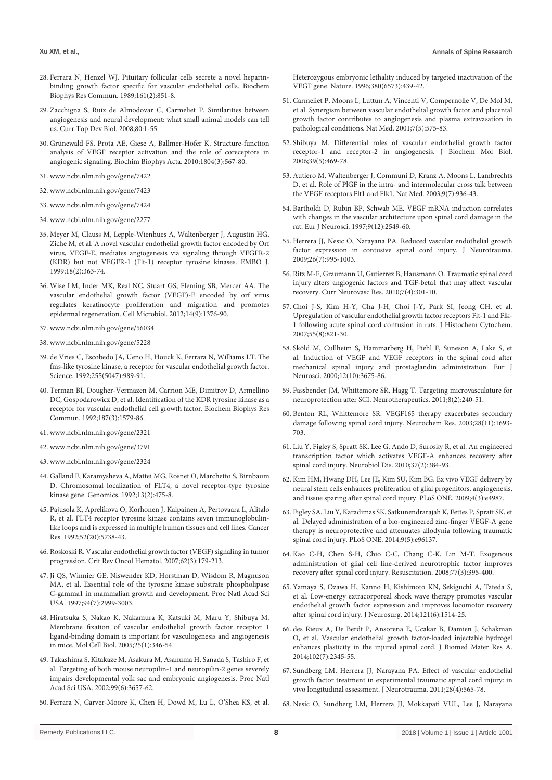- 28. [Ferrara N, Henzel WJ. Pituitary follicular cells secrete a novel heparin](https://www.ncbi.nlm.nih.gov/pubmed/2735925)[binding growth factor specific for vascular endothelial cells. Biochem](https://www.ncbi.nlm.nih.gov/pubmed/2735925)  [Biophys Res Commun. 1989;161\(2\):851-8.](https://www.ncbi.nlm.nih.gov/pubmed/2735925)
- 29. [Zacchigna S, Ruiz de Almodovar C, Carmeliet P. Similarities between](https://www.ncbi.nlm.nih.gov/pubmed/17950371)  [angiogenesis and neural development: what small animal models can tell](https://www.ncbi.nlm.nih.gov/pubmed/17950371)  [us. Curr Top Dev Biol. 2008;80:1-55.](https://www.ncbi.nlm.nih.gov/pubmed/17950371)
- 30. [Grünewald FS, Prota AE, Giese A, Ballmer-Hofer K. Structure-function](https://www.ncbi.nlm.nih.gov/pubmed/19761875)  [analysis of VEGF receptor activation and the role of coreceptors in](https://www.ncbi.nlm.nih.gov/pubmed/19761875)  [angiogenic signaling. Biochim Biophys Acta. 2010;1804\(3\):567-80.](https://www.ncbi.nlm.nih.gov/pubmed/19761875)
- 31. [www.ncbi.nlm.nih.gov/gene/7422](http://www.ncbi.nlm.nih.gov/gene/7422)
- 32. [www.ncbi.nlm.nih.gov/gene/7423](http://www.ncbi.nlm.nih.gov/gene/7423)
- 33. [www.ncbi.nlm.nih.gov/gene/7424](http://www.ncbi.nlm.nih.gov/gene/7424)
- 34. [www.ncbi.nlm.nih.gov/gene/2277](http://www.ncbi.nlm.nih.gov/gene/2277)
- 35. [Meyer M, Clauss M, Lepple-Wienhues A, Waltenberger J, Augustin HG,](https://www.ncbi.nlm.nih.gov/pmc/articles/PMC1171131/)  [Ziche M, et al. A novel vascular endothelial growth factor encoded by Orf](https://www.ncbi.nlm.nih.gov/pmc/articles/PMC1171131/)  [virus, VEGF-E, mediates angiogenesis via signaling through VEGFR-2](https://www.ncbi.nlm.nih.gov/pmc/articles/PMC1171131/)  [\(KDR\) but not VEGFR-1 \(Flt-1\) receptor tyrosine kinases. EMBO J.](https://www.ncbi.nlm.nih.gov/pmc/articles/PMC1171131/)  [1999;18\(2\):363-74.](https://www.ncbi.nlm.nih.gov/pmc/articles/PMC1171131/)
- 36. [Wise LM, Inder MK, Real NC, Stuart GS, Fleming SB, Mercer AA. The](https://www.ncbi.nlm.nih.gov/pubmed/22507661)  [vascular endothelial growth factor \(VEGF\)-E encoded by orf virus](https://www.ncbi.nlm.nih.gov/pubmed/22507661)  [regulates keratinocyte proliferation and migration and promotes](https://www.ncbi.nlm.nih.gov/pubmed/22507661)  [epidermal regeneration. Cell Microbiol. 2012;14\(9\):1376-90.](https://www.ncbi.nlm.nih.gov/pubmed/22507661)
- 37. [www.ncbi.nlm.nih.gov/gene/56034](http://www.ncbi.nlm.nih.gov/gene/56034)
- 38. [www.ncbi.nlm.nih.gov/gene/5228](http://www.ncbi.nlm.nih.gov/gene/5228)
- 39. [de Vries C, Escobedo JA, Ueno H, Houck K, Ferrara N, Williams LT. The](https://www.ncbi.nlm.nih.gov/pubmed/1312256)  [fms-like tyrosine kinase, a receptor for vascular endothelial growth factor.](https://www.ncbi.nlm.nih.gov/pubmed/1312256)  [Science. 1992;255\(5047\):989-91.](https://www.ncbi.nlm.nih.gov/pubmed/1312256)
- 40. [Terman BI, Dougher-Vermazen M, Carrion ME, Dimitrov D, Armellino](https://www.ncbi.nlm.nih.gov/pubmed/1417831)  [DC, Gospodarowicz D, et al. Identification of the KDR tyrosine kinase as a](https://www.ncbi.nlm.nih.gov/pubmed/1417831)  [receptor for vascular endothelial cell growth factor. Biochem Biophys Res](https://www.ncbi.nlm.nih.gov/pubmed/1417831)  [Commun. 1992;187\(3\):1579-86.](https://www.ncbi.nlm.nih.gov/pubmed/1417831)
- 41. [www.ncbi.nlm.nih.gov/gene/2321](http://www.ncbi.nlm.nih.gov/gene/2321)
- 42. [www.ncbi.nlm.nih.gov/gene/3791](http://www.ncbi.nlm.nih.gov/gene/3791)
- 43. [www.ncbi.nlm.nih.gov/gene/2324](http://www.ncbi.nlm.nih.gov/gene/2324)
- 44. [Galland F, Karamysheva A, Mattei MG, Rosnet O, Marchetto S, Birnbaum](https://www.ncbi.nlm.nih.gov/pubmed/1319394)  [D. Chromosomal localization of FLT4, a novel receptor-type tyrosine](https://www.ncbi.nlm.nih.gov/pubmed/1319394)  [kinase gene. Genomics. 1992;13\(2\):475-8.](https://www.ncbi.nlm.nih.gov/pubmed/1319394)
- 45. [Pajusola K, Aprelikova O, Korhonen J, Kaipainen A, Pertovaara L, Alitalo](https://www.ncbi.nlm.nih.gov/pubmed/1327515)  [R, et al. FLT4 receptor tyrosine kinase contains seven immunoglobulin](https://www.ncbi.nlm.nih.gov/pubmed/1327515)[like loops and is expressed in multiple human tissues and cell lines. Cancer](https://www.ncbi.nlm.nih.gov/pubmed/1327515)  [Res. 1992;52\(20\):5738-43.](https://www.ncbi.nlm.nih.gov/pubmed/1327515)
- 46. [Roskoski R. Vascular endothelial growth factor \(VEGF\) signaling in tumor](https://www.ncbi.nlm.nih.gov/pubmed/17324579)  [progression. Crit Rev Oncol Hematol. 2007;62\(3\):179-213.](https://www.ncbi.nlm.nih.gov/pubmed/17324579)
- 47. [Ji QS, Winnier GE, Niswender KD, Horstman D, Wisdom R, Magnuson](https://www.ncbi.nlm.nih.gov/pubmed/9096335)  [MA, et al. Essential role of the tyrosine kinase substrate phospholipase](https://www.ncbi.nlm.nih.gov/pubmed/9096335)  [C-gamma1 in mammalian growth and development. Proc Natl Acad Sci](https://www.ncbi.nlm.nih.gov/pubmed/9096335)  [USA. 1997;94\(7\):2999-3003.](https://www.ncbi.nlm.nih.gov/pubmed/9096335)
- 48. [Hiratsuka S, Nakao K, Nakamura K, Katsuki M, Maru Y, Shibuya M.](https://www.ncbi.nlm.nih.gov/pubmed/15601855)  [Membrane fixation of vascular endothelial growth factor receptor 1](https://www.ncbi.nlm.nih.gov/pubmed/15601855)  [ligand-binding domain is important for vasculogenesis and angiogenesis](https://www.ncbi.nlm.nih.gov/pubmed/15601855)  [in mice. Mol Cell Biol. 2005;25\(1\):346-54.](https://www.ncbi.nlm.nih.gov/pubmed/15601855)
- 49. [Takashima S, Kitakaze M, Asakura M, Asanuma H, Sanada S, Tashiro F, et](https://www.ncbi.nlm.nih.gov/pubmed/11891274)  [al. Targeting of both mouse neuropilin-1 and neuropilin-2 genes severely](https://www.ncbi.nlm.nih.gov/pubmed/11891274)  [impairs developmental yolk sac and embryonic angiogenesis. Proc Natl](https://www.ncbi.nlm.nih.gov/pubmed/11891274)  [Acad Sci USA. 2002;99\(6\):3657-62.](https://www.ncbi.nlm.nih.gov/pubmed/11891274)
- 50. [Ferrara N, Carver-Moore K, Chen H, Dowd M, Lu L, O'Shea KS, et al.](https://www.ncbi.nlm.nih.gov/pubmed/8602242)

[Heterozygous embryonic lethality induced by targeted inactivation of the](https://www.ncbi.nlm.nih.gov/pubmed/8602242)  [VEGF gene. Nature. 1996;380\(6573\):439-42.](https://www.ncbi.nlm.nih.gov/pubmed/8602242)

- 51. [Carmeliet P, Moons L, Luttun A, Vincenti V, Compernolle V, De Mol M,](https://www.ncbi.nlm.nih.gov/pubmed/11329059)  [et al. Synergism between vascular endothelial growth factor and placental](https://www.ncbi.nlm.nih.gov/pubmed/11329059)  [growth factor contributes to angiogenesis and plasma extravasation in](https://www.ncbi.nlm.nih.gov/pubmed/11329059)  [pathological conditions. Nat Med. 2001;7\(5\):575-83.](https://www.ncbi.nlm.nih.gov/pubmed/11329059)
- 52. [Shibuya M. Differential roles of vascular endothelial growth factor](https://www.ncbi.nlm.nih.gov/pubmed/17002866)  [receptor-1 and receptor-2 in angiogenesis. J Biochem Mol Biol.](https://www.ncbi.nlm.nih.gov/pubmed/17002866)  [2006;39\(5\):469-78.](https://www.ncbi.nlm.nih.gov/pubmed/17002866)
- 53. [Autiero M, Waltenberger J, Communi D, Kranz A, Moons L, Lambrechts](https://www.ncbi.nlm.nih.gov/pubmed/12796773)  [D, et al. Role of PlGF in the intra- and intermolecular cross talk between](https://www.ncbi.nlm.nih.gov/pubmed/12796773)  [the VEGF receptors Flt1 and Flk1. Nat Med. 2003;9\(7\):936-43.](https://www.ncbi.nlm.nih.gov/pubmed/12796773)
- 54. [Bartholdi D, Rubin BP, Schwab ME. VEGF mRNA induction correlates](https://www.ncbi.nlm.nih.gov/pubmed/9517460)  [with changes in the vascular architecture upon spinal cord damage in the](https://www.ncbi.nlm.nih.gov/pubmed/9517460)  [rat. Eur J Neurosci. 1997;9\(12\):2549-60.](https://www.ncbi.nlm.nih.gov/pubmed/9517460)
- 55. [Herrera JJ, Nesic O, Narayana PA. Reduced vascular endothelial growth](https://www.ncbi.nlm.nih.gov/pubmed/19257807)  [factor expression in contusive spinal cord injury. J Neurotrauma.](https://www.ncbi.nlm.nih.gov/pubmed/19257807)  [2009;26\(7\):995-1003.](https://www.ncbi.nlm.nih.gov/pubmed/19257807)
- 56. [Ritz M-F, Graumann U, Gutierrez B, Hausmann O. Traumatic spinal cord](https://www.ncbi.nlm.nih.gov/pubmed/20860549)  [injury alters angiogenic factors and TGF-beta1 that may affect vascular](https://www.ncbi.nlm.nih.gov/pubmed/20860549)  [recovery. Curr Neurovasc Res. 2010;7\(4\):301-10.](https://www.ncbi.nlm.nih.gov/pubmed/20860549)
- 57. [Choi J-S, Kim H-Y, Cha J-H, Choi J-Y, Park SI, Jeong CH, et al.](https://www.ncbi.nlm.nih.gov/pubmed/17409380)  [Upregulation of vascular endothelial growth factor receptors Flt-1 and Flk-](https://www.ncbi.nlm.nih.gov/pubmed/17409380)[1 following acute spinal cord contusion in rats. J Histochem Cytochem.](https://www.ncbi.nlm.nih.gov/pubmed/17409380)  [2007;55\(8\):821-30.](https://www.ncbi.nlm.nih.gov/pubmed/17409380)
- 58. [Sköld M, Cullheim S, Hammarberg H, Piehl F, Suneson A, Lake S, et](https://www.ncbi.nlm.nih.gov/pubmed/11029637)  [al. Induction of VEGF and VEGF receptors in the spinal cord after](https://www.ncbi.nlm.nih.gov/pubmed/11029637)  [mechanical spinal injury and prostaglandin administration. Eur J](https://www.ncbi.nlm.nih.gov/pubmed/11029637)  [Neurosci. 2000;12\(10\):3675-86.](https://www.ncbi.nlm.nih.gov/pubmed/11029637)
- 59. [Fassbender JM, Whittemore SR, Hagg T. Targeting microvasculature for](https://www.ncbi.nlm.nih.gov/pubmed/21360237)  [neuroprotection after SCI. Neurotherapeutics. 2011;8\(2\):240-51.](https://www.ncbi.nlm.nih.gov/pubmed/21360237)
- 60. [Benton RL, Whittemore SR. VEGF165 therapy exacerbates secondary](https://www.ncbi.nlm.nih.gov/pubmed/14584823)  [damage following spinal cord injury. Neurochem Res. 2003;28\(11\):1693-](https://www.ncbi.nlm.nih.gov/pubmed/14584823) [703.](https://www.ncbi.nlm.nih.gov/pubmed/14584823)
- 61. [Liu Y, Figley S, Spratt SK, Lee G, Ando D, Surosky R, et al. An engineered](https://www.ncbi.nlm.nih.gov/pubmed/19879362)  [transcription factor which activates VEGF-A enhances recovery after](https://www.ncbi.nlm.nih.gov/pubmed/19879362)  [spinal cord injury. Neurobiol Dis. 2010;37\(2\):384-93.](https://www.ncbi.nlm.nih.gov/pubmed/19879362)
- 62. [Kim HM, Hwang DH, Lee JE, Kim SU, Kim BG. Ex vivo VEGF delivery by](https://www.ncbi.nlm.nih.gov/pubmed/19319198)  [neural stem cells enhances proliferation of glial progenitors, angiogenesis,](https://www.ncbi.nlm.nih.gov/pubmed/19319198)  [and tissue sparing after spinal cord injury. PLoS ONE. 2009;4\(3\):e4987.](https://www.ncbi.nlm.nih.gov/pubmed/19319198)
- 63. [Figley SA, Liu Y, Karadimas SK, Satkunendrarajah K, Fettes P, Spratt SK, et](https://www.ncbi.nlm.nih.gov/pubmed/24846143)  [al. Delayed administration of a bio-engineered zinc-finger VEGF-A gene](https://www.ncbi.nlm.nih.gov/pubmed/24846143)  [therapy is neuroprotective and attenuates allodynia following traumatic](https://www.ncbi.nlm.nih.gov/pubmed/24846143)  [spinal cord injury. PLoS ONE. 2014;9\(5\):e96137.](https://www.ncbi.nlm.nih.gov/pubmed/24846143)
- 64. [Kao C-H, Chen S-H, Chio C-C, Chang C-K, Lin M-T. Exogenous](https://www.ncbi.nlm.nih.gov/pubmed/18367307)  [administration of glial cell line-derived neurotrophic factor improves](https://www.ncbi.nlm.nih.gov/pubmed/18367307)  [recovery after spinal cord injury. Resuscitation. 2008;77\(3\):395-400.](https://www.ncbi.nlm.nih.gov/pubmed/18367307)
- 65. [Yamaya S, Ozawa H, Kanno H, Kishimoto KN, Sekiguchi A, Tateda S,](https://www.ncbi.nlm.nih.gov/pubmed/25280090)  [et al. Low-energy extracorporeal shock wave therapy promotes vascular](https://www.ncbi.nlm.nih.gov/pubmed/25280090)  [endothelial growth factor expression and improves locomotor recovery](https://www.ncbi.nlm.nih.gov/pubmed/25280090)  [after spinal cord injury. J Neurosurg. 2014;121\(6\):1514-25.](https://www.ncbi.nlm.nih.gov/pubmed/25280090)
- 66. [des Rieux A, De Berdt P, Ansorena E, Ucakar B, Damien J, Schakman](https://www.ncbi.nlm.nih.gov/pubmed/23946111)  [O, et al. Vascular endothelial growth factor-loaded injectable hydrogel](https://www.ncbi.nlm.nih.gov/pubmed/23946111)  [enhances plasticity in the injured spinal cord. J Biomed Mater Res A.](https://www.ncbi.nlm.nih.gov/pubmed/23946111)  [2014;102\(7\):2345-55.](https://www.ncbi.nlm.nih.gov/pubmed/23946111)
- 67. [Sundberg LM, Herrera JJ, Narayana PA. Effect of vascular endothelial](https://www.ncbi.nlm.nih.gov/pmc/articles/PMC3070144/)  [growth factor treatment in experimental traumatic spinal cord injury: in](https://www.ncbi.nlm.nih.gov/pmc/articles/PMC3070144/)  [vivo longitudinal assessment. J Neurotrauma. 2011;28\(4\):565-78.](https://www.ncbi.nlm.nih.gov/pmc/articles/PMC3070144/)
- 68. [Nesic O, Sundberg LM, Herrera JJ, Mokkapati VUL, Lee J, Narayana](https://www.ncbi.nlm.nih.gov/pmc/articles/PMC2953928/)